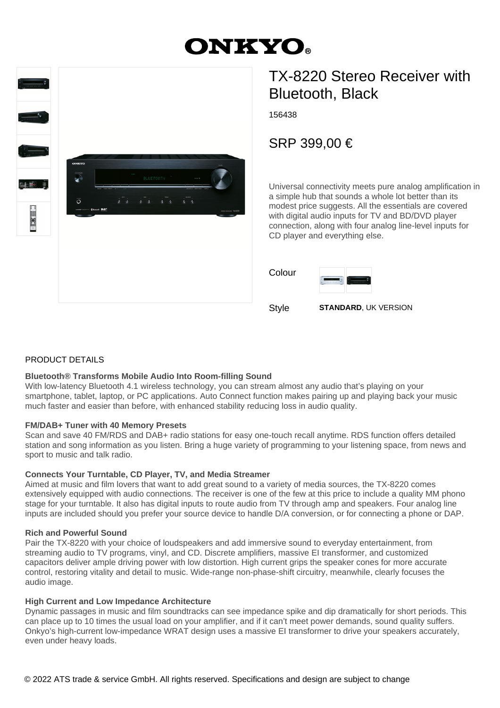# **ONKYO.**



## TX-8220 Stereo Receiver with Bluetooth, Black

156438

SRP 399,00 €

Universal connectivity meets pure analog amplification in a simple hub that sounds a whole lot better than its modest price suggests. All the essentials are covered with digital audio inputs for TV and BD/DVD player connection, along with four analog line-level inputs for CD player and everything else.

| Colour |                    |
|--------|--------------------|
|        | ALC: YOU<br>$\sim$ |

Style **STANDARD**, UK VERSION

#### PRODUCT DETAILS

#### **Bluetooth® Transforms Mobile Audio Into Room-filling Sound**

With low-latency Bluetooth 4.1 wireless technology, you can stream almost any audio that's playing on your smartphone, tablet, laptop, or PC applications. Auto Connect function makes pairing up and playing back your music much faster and easier than before, with enhanced stability reducing loss in audio quality.

#### **FM/DAB+ Tuner with 40 Memory Presets**

Scan and save 40 FM/RDS and DAB+ radio stations for easy one-touch recall anytime. RDS function offers detailed station and song information as you listen. Bring a huge variety of programming to your listening space, from news and sport to music and talk radio.

#### **Connects Your Turntable, CD Player, TV, and Media Streamer**

Aimed at music and film lovers that want to add great sound to a variety of media sources, the TX-8220 comes extensively equipped with audio connections. The receiver is one of the few at this price to include a quality MM phono stage for your turntable. It also has digital inputs to route audio from TV through amp and speakers. Four analog line inputs are included should you prefer your source device to handle D/A conversion, or for connecting a phone or DAP.

#### **Rich and Powerful Sound**

Pair the TX-8220 with your choice of loudspeakers and add immersive sound to everyday entertainment, from streaming audio to TV programs, vinyl, and CD. Discrete amplifiers, massive EI transformer, and customized capacitors deliver ample driving power with low distortion. High current grips the speaker cones for more accurate control, restoring vitality and detail to music. Wide-range non-phase-shift circuitry, meanwhile, clearly focuses the audio image.

#### **High Current and Low Impedance Architecture**

Dynamic passages in music and film soundtracks can see impedance spike and dip dramatically for short periods. This can place up to 10 times the usual load on your amplifier, and if it can't meet power demands, sound quality suffers. Onkyo's high-current low-impedance WRAT design uses a massive EI transformer to drive your speakers accurately, even under heavy loads.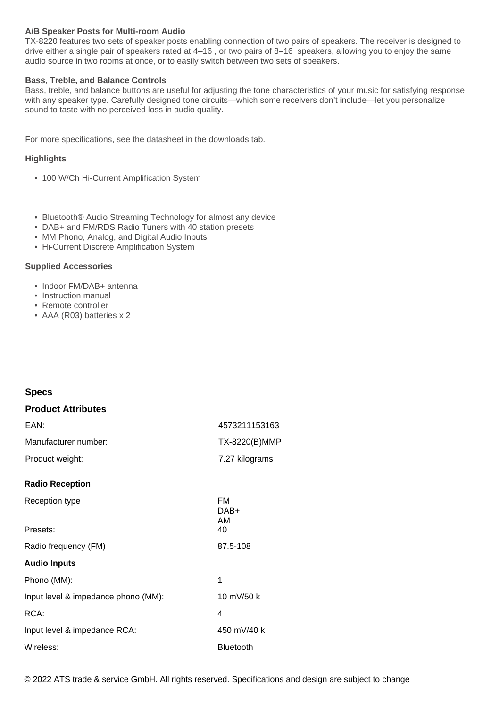#### **A/B Speaker Posts for Multi-room Audio**

TX-8220 features two sets of speaker posts enabling connection of two pairs of speakers. The receiver is designed to drive either a single pair of speakers rated at 4–16 , or two pairs of 8–16 speakers, allowing you to enjoy the same audio source in two rooms at once, or to easily switch between two sets of speakers.

#### **Bass, Treble, and Balance Controls**

Bass, treble, and balance buttons are useful for adjusting the tone characteristics of your music for satisfying response with any speaker type. Carefully designed tone circuits—which some receivers don't include—let you personalize sound to taste with no perceived loss in audio quality.

For more specifications, see the datasheet in the downloads tab.

#### **Highlights**

- 100 W/Ch Hi-Current Amplification System
- Bluetooth® Audio Streaming Technology for almost any device
- DAB+ and FM/RDS Radio Tuners with 40 station presets
- MM Phono, Analog, and Digital Audio Inputs
- Hi-Current Discrete Amplification System

#### **Supplied Accessories**

- Indoor FM/DAB+ antenna
- Instruction manual
- Remote controller
- AAA (R03) batteries x 2

#### **Specs**

| <b>Product Attributes</b>           |                         |
|-------------------------------------|-------------------------|
| EAN:                                | 4573211153163           |
| Manufacturer number:                | TX-8220(B)MMP           |
| Product weight:                     | 7.27 kilograms          |
| <b>Radio Reception</b>              |                         |
| Reception type                      | <b>FM</b><br>DAB+<br>AM |
| Presets:                            | 40                      |
| Radio frequency (FM)                | 87.5-108                |
| <b>Audio Inputs</b>                 |                         |
| Phono (MM):                         | 1                       |
| Input level & impedance phono (MM): | 10 mV/50 k              |
| RCA:                                | 4                       |
| Input level & impedance RCA:        | 450 mV/40 k             |
| Wireless:                           | <b>Bluetooth</b>        |